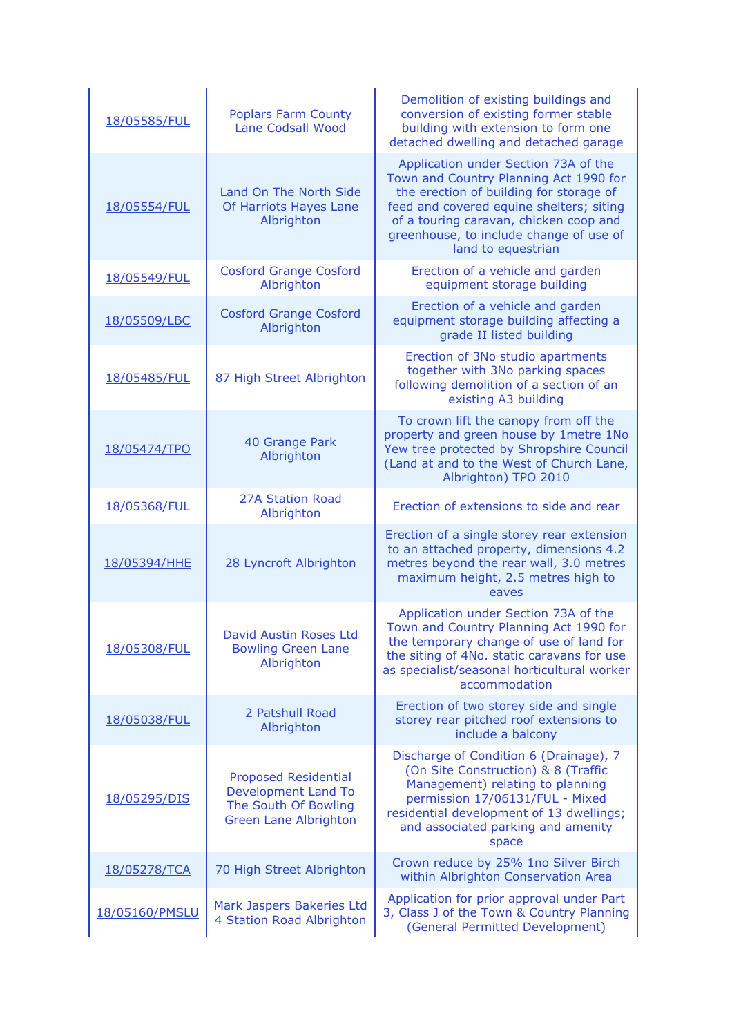| 18/05585/FUL   | <b>Poplars Farm County</b><br>Lane Codsall Wood                                                                   | Demolition of existing buildings and<br>conversion of existing former stable<br>building with extension to form one<br>detached dwelling and detached garage                                                                                                                     |
|----------------|-------------------------------------------------------------------------------------------------------------------|----------------------------------------------------------------------------------------------------------------------------------------------------------------------------------------------------------------------------------------------------------------------------------|
| 18/05554/FUL   | Land On The North Side<br>Of Harriots Hayes Lane<br>Albrighton                                                    | Application under Section 73A of the<br>Town and Country Planning Act 1990 for<br>the erection of building for storage of<br>feed and covered equine shelters; siting<br>of a touring caravan, chicken coop and<br>greenhouse, to include change of use of<br>land to equestrian |
| 18/05549/FUL   | <b>Cosford Grange Cosford</b><br>Albrighton                                                                       | Erection of a vehicle and garden<br>equipment storage building                                                                                                                                                                                                                   |
| 18/05509/LBC   | <b>Cosford Grange Cosford</b><br>Albrighton                                                                       | Erection of a vehicle and garden<br>equipment storage building affecting a<br>grade II listed building                                                                                                                                                                           |
| 18/05485/FUL   | 87 High Street Albrighton                                                                                         | Erection of 3No studio apartments<br>together with 3No parking spaces<br>following demolition of a section of an<br>existing A3 building                                                                                                                                         |
| 18/05474/TPO   | 40 Grange Park<br>Albrighton                                                                                      | To crown lift the canopy from off the<br>property and green house by 1metre 1No<br>Yew tree protected by Shropshire Council<br>(Land at and to the West of Church Lane,<br>Albrighton) TPO 2010                                                                                  |
| 18/05368/FUL   | <b>27A Station Road</b><br>Albrighton                                                                             | Erection of extensions to side and rear                                                                                                                                                                                                                                          |
| 18/05394/HHE   | 28 Lyncroft Albrighton                                                                                            | Erection of a single storey rear extension<br>to an attached property, dimensions 4.2<br>metres beyond the rear wall, 3.0 metres<br>maximum height, 2.5 metres high to<br>eaves                                                                                                  |
| 18/05308/FUL   | David Austin Roses Ltd<br><b>Bowling Green Lane</b><br>Albrighton                                                 | Application under Section 73A of the<br>Town and Country Planning Act 1990 for<br>the temporary change of use of land for<br>the siting of 4No. static caravans for use<br>as specialist/seasonal horticultural worker<br>accommodation                                          |
| 18/05038/FUL   | 2 Patshull Road<br>Albrighton                                                                                     | Erection of two storey side and single<br>storey rear pitched roof extensions to<br>include a balcony                                                                                                                                                                            |
| 18/05295/DIS   | <b>Proposed Residential</b><br><b>Development Land To</b><br>The South Of Bowling<br><b>Green Lane Albrighton</b> | Discharge of Condition 6 (Drainage), 7<br>(On Site Construction) & 8 (Traffic<br>Management) relating to planning<br>permission 17/06131/FUL - Mixed<br>residential development of 13 dwellings;<br>and associated parking and amenity<br>space                                  |
| 18/05278/TCA   | 70 High Street Albrighton                                                                                         | Crown reduce by 25% 1no Silver Birch<br>within Albrighton Conservation Area                                                                                                                                                                                                      |
| 18/05160/PMSLU | Mark Jaspers Bakeries Ltd<br>4 Station Road Albrighton                                                            | Application for prior approval under Part<br>3, Class J of the Town & Country Planning<br>(General Permitted Development)                                                                                                                                                        |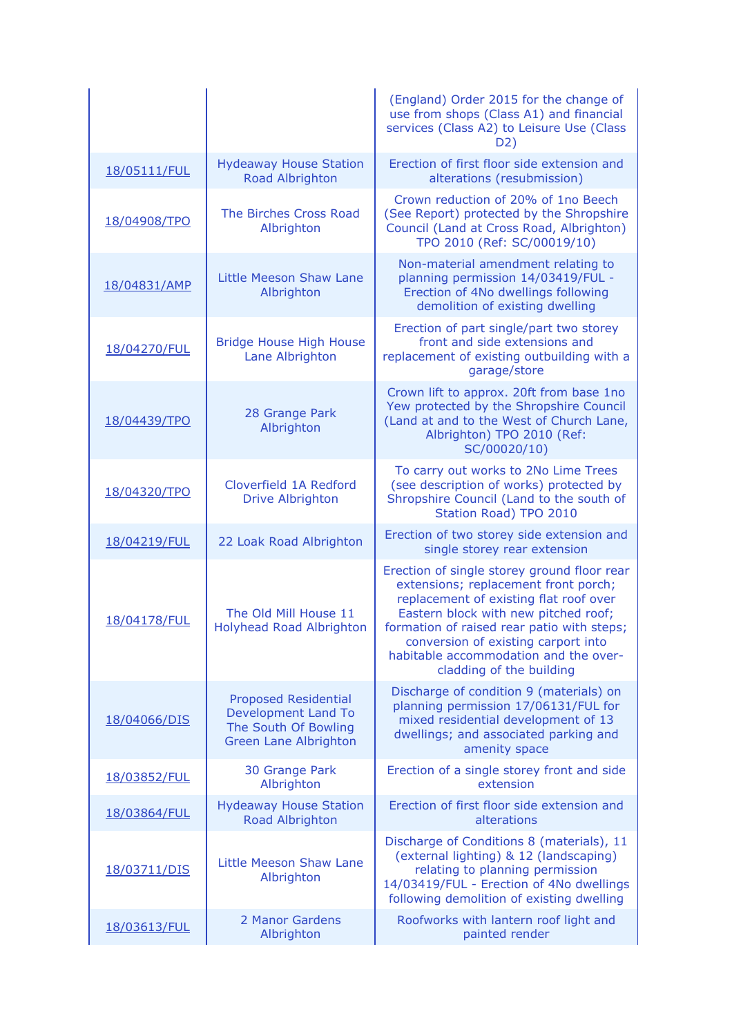|              |                                                                                                                   | (England) Order 2015 for the change of<br>use from shops (Class A1) and financial<br>services (Class A2) to Leisure Use (Class<br>D2)                                                                                                                                                                                           |
|--------------|-------------------------------------------------------------------------------------------------------------------|---------------------------------------------------------------------------------------------------------------------------------------------------------------------------------------------------------------------------------------------------------------------------------------------------------------------------------|
| 18/05111/FUL | <b>Hydeaway House Station</b><br>Road Albrighton                                                                  | Erection of first floor side extension and<br>alterations (resubmission)                                                                                                                                                                                                                                                        |
| 18/04908/TPO | The Birches Cross Road<br>Albrighton                                                                              | Crown reduction of 20% of 1no Beech<br>(See Report) protected by the Shropshire<br>Council (Land at Cross Road, Albrighton)<br>TPO 2010 (Ref: SC/00019/10)                                                                                                                                                                      |
| 18/04831/AMP | Little Meeson Shaw Lane<br>Albrighton                                                                             | Non-material amendment relating to<br>planning permission 14/03419/FUL -<br>Erection of 4No dwellings following<br>demolition of existing dwelling                                                                                                                                                                              |
| 18/04270/FUL | <b>Bridge House High House</b><br>Lane Albrighton                                                                 | Erection of part single/part two storey<br>front and side extensions and<br>replacement of existing outbuilding with a<br>garage/store                                                                                                                                                                                          |
| 18/04439/TPO | 28 Grange Park<br>Albrighton                                                                                      | Crown lift to approx. 20ft from base 1no<br>Yew protected by the Shropshire Council<br>(Land at and to the West of Church Lane,<br>Albrighton) TPO 2010 (Ref:<br>SC/00020/10)                                                                                                                                                   |
| 18/04320/TPO | Cloverfield 1A Redford<br><b>Drive Albrighton</b>                                                                 | To carry out works to 2No Lime Trees<br>(see description of works) protected by<br>Shropshire Council (Land to the south of<br>Station Road) TPO 2010                                                                                                                                                                           |
| 18/04219/FUL | 22 Loak Road Albrighton                                                                                           | Erection of two storey side extension and<br>single storey rear extension                                                                                                                                                                                                                                                       |
| 18/04178/FUL | The Old Mill House 11<br><b>Holyhead Road Albrighton</b>                                                          | Erection of single storey ground floor rear<br>extensions; replacement front porch;<br>replacement of existing flat roof over<br>Eastern block with new pitched roof;<br>formation of raised rear patio with steps;<br>conversion of existing carport into<br>habitable accommodation and the over-<br>cladding of the building |
| 18/04066/DIS | <b>Proposed Residential</b><br><b>Development Land To</b><br>The South Of Bowling<br><b>Green Lane Albrighton</b> | Discharge of condition 9 (materials) on<br>planning permission 17/06131/FUL for<br>mixed residential development of 13<br>dwellings; and associated parking and<br>amenity space                                                                                                                                                |
| 18/03852/FUL | 30 Grange Park<br>Albrighton                                                                                      | Erection of a single storey front and side<br>extension                                                                                                                                                                                                                                                                         |
| 18/03864/FUL | <b>Hydeaway House Station</b><br>Road Albrighton                                                                  | Erection of first floor side extension and<br>alterations                                                                                                                                                                                                                                                                       |
| 18/03711/DIS | Little Meeson Shaw Lane<br>Albrighton                                                                             | Discharge of Conditions 8 (materials), 11<br>(external lighting) & 12 (landscaping)<br>relating to planning permission<br>14/03419/FUL - Erection of 4No dwellings<br>following demolition of existing dwelling                                                                                                                 |
| 18/03613/FUL | 2 Manor Gardens<br>Albrighton                                                                                     | Roofworks with lantern roof light and<br>painted render                                                                                                                                                                                                                                                                         |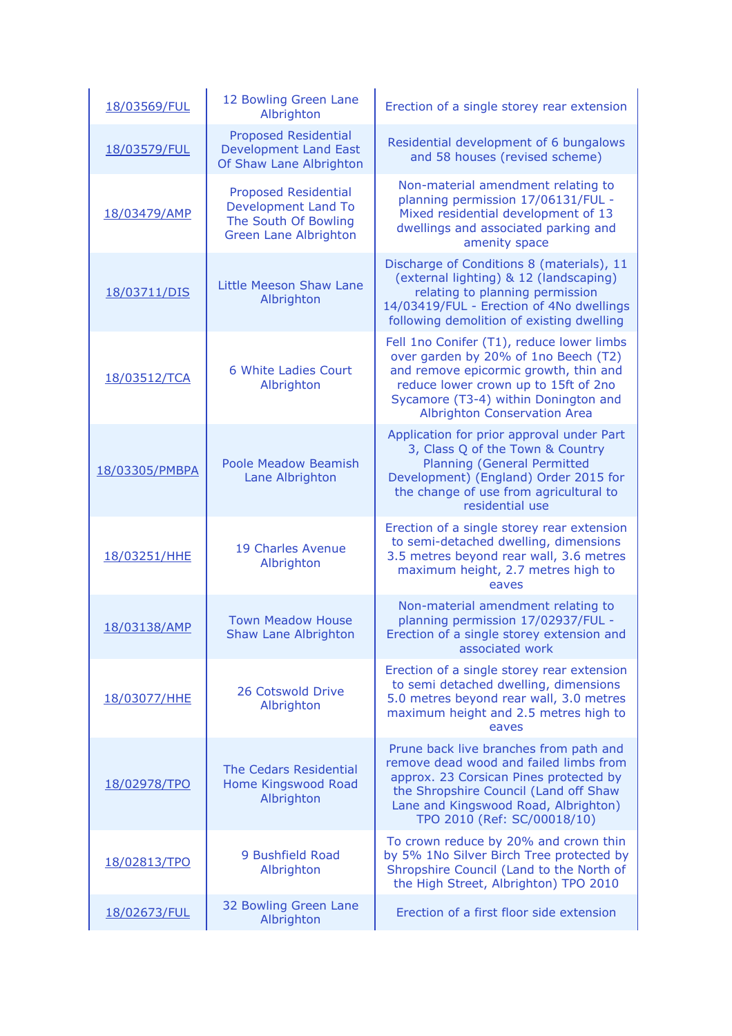| 18/03569/FUL   | 12 Bowling Green Lane<br>Albrighton                                                                               | Erection of a single storey rear extension                                                                                                                                                                                                        |
|----------------|-------------------------------------------------------------------------------------------------------------------|---------------------------------------------------------------------------------------------------------------------------------------------------------------------------------------------------------------------------------------------------|
| 18/03579/FUL   | <b>Proposed Residential</b><br><b>Development Land East</b><br>Of Shaw Lane Albrighton                            | Residential development of 6 bungalows<br>and 58 houses (revised scheme)                                                                                                                                                                          |
| 18/03479/AMP   | <b>Proposed Residential</b><br><b>Development Land To</b><br>The South Of Bowling<br><b>Green Lane Albrighton</b> | Non-material amendment relating to<br>planning permission 17/06131/FUL -<br>Mixed residential development of 13<br>dwellings and associated parking and<br>amenity space                                                                          |
| 18/03711/DIS   | Little Meeson Shaw Lane<br>Albrighton                                                                             | Discharge of Conditions 8 (materials), 11<br>(external lighting) & 12 (landscaping)<br>relating to planning permission<br>14/03419/FUL - Erection of 4No dwellings<br>following demolition of existing dwelling                                   |
| 18/03512/TCA   | 6 White Ladies Court<br>Albrighton                                                                                | Fell 1no Conifer (T1), reduce lower limbs<br>over garden by 20% of 1no Beech (T2)<br>and remove epicormic growth, thin and<br>reduce lower crown up to 15ft of 2no<br>Sycamore (T3-4) within Donington and<br><b>Albrighton Conservation Area</b> |
| 18/03305/PMBPA | <b>Poole Meadow Beamish</b><br>Lane Albrighton                                                                    | Application for prior approval under Part<br>3, Class Q of the Town & Country<br><b>Planning (General Permitted</b><br>Development) (England) Order 2015 for<br>the change of use from agricultural to<br>residential use                         |
| 18/03251/HHE   | 19 Charles Avenue<br>Albrighton                                                                                   | Erection of a single storey rear extension<br>to semi-detached dwelling, dimensions<br>3.5 metres beyond rear wall, 3.6 metres<br>maximum height, 2.7 metres high to<br>eaves                                                                     |
| 18/03138/AMP   | <b>Town Meadow House</b><br><b>Shaw Lane Albrighton</b>                                                           | Non-material amendment relating to<br>planning permission 17/02937/FUL -<br>Erection of a single storey extension and<br>associated work                                                                                                          |
| 18/03077/HHE   | 26 Cotswold Drive<br>Albrighton                                                                                   | Erection of a single storey rear extension<br>to semi detached dwelling, dimensions<br>5.0 metres beyond rear wall, 3.0 metres<br>maximum height and 2.5 metres high to<br>eaves                                                                  |
| 18/02978/TPO   | The Cedars Residential<br>Home Kingswood Road<br>Albrighton                                                       | Prune back live branches from path and<br>remove dead wood and failed limbs from<br>approx. 23 Corsican Pines protected by<br>the Shropshire Council (Land off Shaw<br>Lane and Kingswood Road, Albrighton)<br>TPO 2010 (Ref: SC/00018/10)        |
| 18/02813/TPO   | 9 Bushfield Road<br>Albrighton                                                                                    | To crown reduce by 20% and crown thin<br>by 5% 1No Silver Birch Tree protected by<br>Shropshire Council (Land to the North of<br>the High Street, Albrighton) TPO 2010                                                                            |
| 18/02673/FUL   | 32 Bowling Green Lane<br>Albrighton                                                                               | Erection of a first floor side extension                                                                                                                                                                                                          |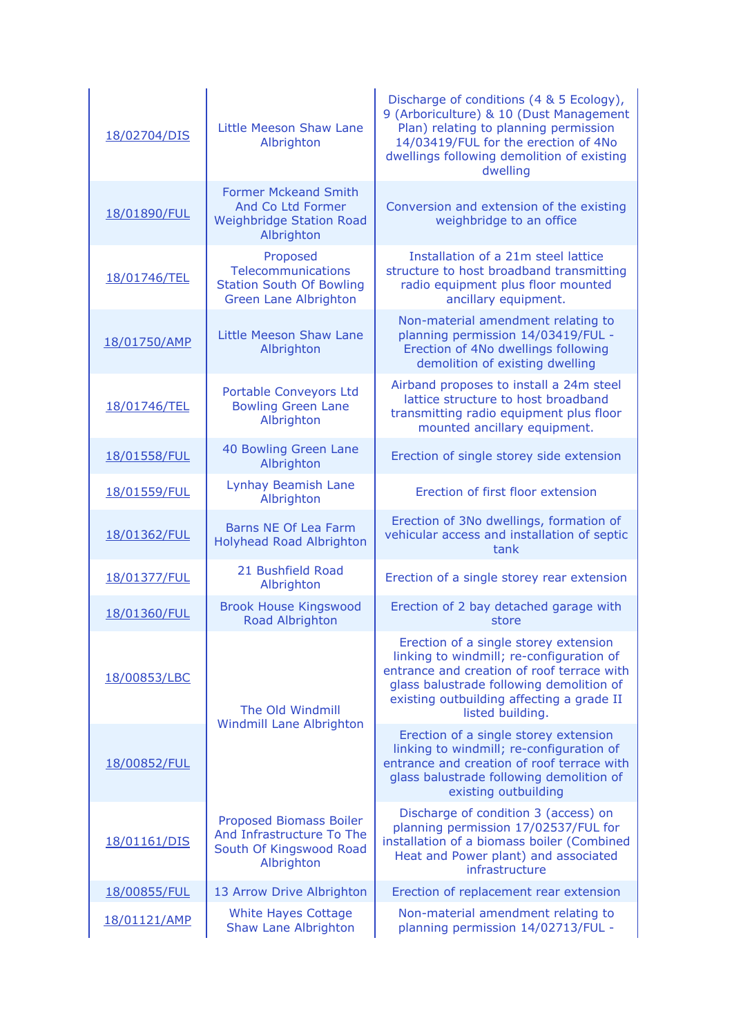| 18/02704/DIS | Little Meeson Shaw Lane<br>Albrighton                                                             | Discharge of conditions (4 & 5 Ecology),<br>9 (Arboriculture) & 10 (Dust Management<br>Plan) relating to planning permission<br>14/03419/FUL for the erection of 4No<br>dwellings following demolition of existing<br>dwelling               |
|--------------|---------------------------------------------------------------------------------------------------|----------------------------------------------------------------------------------------------------------------------------------------------------------------------------------------------------------------------------------------------|
| 18/01890/FUL | <b>Former Mckeand Smith</b><br>And Co Ltd Former<br><b>Weighbridge Station Road</b><br>Albrighton | Conversion and extension of the existing<br>weighbridge to an office                                                                                                                                                                         |
| 18/01746/TEL | Proposed<br>Telecommunications<br><b>Station South Of Bowling</b><br><b>Green Lane Albrighton</b> | Installation of a 21m steel lattice<br>structure to host broadband transmitting<br>radio equipment plus floor mounted<br>ancillary equipment.                                                                                                |
| 18/01750/AMP | Little Meeson Shaw Lane<br>Albrighton                                                             | Non-material amendment relating to<br>planning permission 14/03419/FUL -<br>Erection of 4No dwellings following<br>demolition of existing dwelling                                                                                           |
| 18/01746/TEL | Portable Conveyors Ltd<br><b>Bowling Green Lane</b><br>Albrighton                                 | Airband proposes to install a 24m steel<br>lattice structure to host broadband<br>transmitting radio equipment plus floor<br>mounted ancillary equipment.                                                                                    |
| 18/01558/FUL | 40 Bowling Green Lane<br>Albrighton                                                               | Erection of single storey side extension                                                                                                                                                                                                     |
| 18/01559/FUL | Lynhay Beamish Lane<br>Albrighton                                                                 | Erection of first floor extension                                                                                                                                                                                                            |
| 18/01362/FUL | Barns NE Of Lea Farm<br><b>Holyhead Road Albrighton</b>                                           | Erection of 3No dwellings, formation of<br>vehicular access and installation of septic<br>tank                                                                                                                                               |
| 18/01377/FUL | 21 Bushfield Road<br>Albrighton                                                                   | Erection of a single storey rear extension                                                                                                                                                                                                   |
| 18/01360/FUL | <b>Brook House Kingswood</b><br>Road Albrighton                                                   | Erection of 2 bay detached garage with<br>store                                                                                                                                                                                              |
| 18/00853/LBC | The Old Windmill<br><b>Windmill Lane Albrighton</b>                                               | Erection of a single storey extension<br>linking to windmill; re-configuration of<br>entrance and creation of roof terrace with<br>glass balustrade following demolition of<br>existing outbuilding affecting a grade II<br>listed building. |
| 18/00852/FUL |                                                                                                   | Erection of a single storey extension<br>linking to windmill; re-configuration of<br>entrance and creation of roof terrace with<br>glass balustrade following demolition of<br>existing outbuilding                                          |
| 18/01161/DIS | Proposed Biomass Boiler<br>And Infrastructure To The<br>South Of Kingswood Road<br>Albrighton     | Discharge of condition 3 (access) on<br>planning permission 17/02537/FUL for<br>installation of a biomass boiler (Combined<br>Heat and Power plant) and associated<br>infrastructure                                                         |
| 18/00855/FUL | 13 Arrow Drive Albrighton                                                                         | Erection of replacement rear extension                                                                                                                                                                                                       |
| 18/01121/AMP | <b>White Hayes Cottage</b><br>Shaw Lane Albrighton                                                | Non-material amendment relating to<br>planning permission 14/02713/FUL -                                                                                                                                                                     |